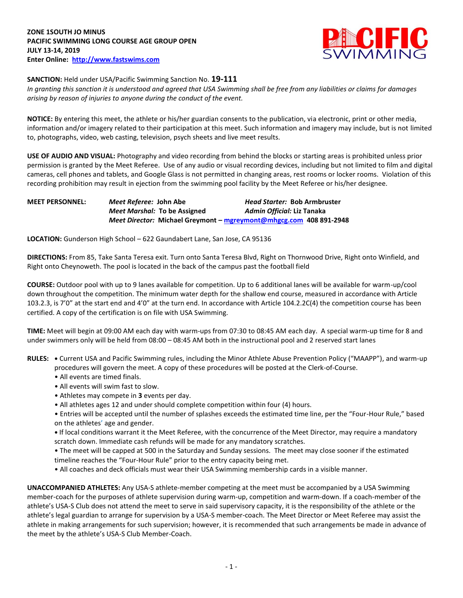

## **SANCTION:** Held under USA/Pacific Swimming Sanction No. **19-111**

*In granting this sanction it is understood and agreed that USA Swimming shall be free from any liabilities or claims for damages arising by reason of injuries to anyone during the conduct of the event.* 

**NOTICE:** By entering this meet, the athlete or his/her guardian consents to the publication, via electronic, print or other media, information and/or imagery related to their participation at this meet. Such information and imagery may include, but is not limited to, photographs, video, web casting, television, psych sheets and live meet results.

**USE OF AUDIO AND VISUAL:** Photography and video recording from behind the blocks or starting areas is prohibited unless prior permission is granted by the Meet Referee. Use of any audio or visual recording devices, including but not limited to film and digital cameras, cell phones and tablets, and Google Glass is not permitted in changing areas, rest rooms or locker rooms. Violation of this recording prohibition may result in ejection from the swimming pool facility by the Meet Referee or his/her designee.

## **MEET PERSONNEL:** *Meet Referee:* **John Abe** *Head Starter:* **Bob Armbruster** *Meet Marshal:* **To be Assigned** *Admin Official:* **Liz Tanaka** *Meet Director:* **Michael Greymont – [mgreymont@mhgcg.com](mailto:mgreymont@mhgcg.com) 408 891-2948**

**LOCATION:** Gunderson High School – 622 Gaundabert Lane, San Jose, CA 95136

**DIRECTIONS:** From 85, Take Santa Teresa exit. Turn onto Santa Teresa Blvd, Right on Thornwood Drive, Right onto Winfield, and Right onto Cheynoweth. The pool is located in the back of the campus past the football field

**COURSE:** Outdoor pool with up to 9 lanes available for competition. Up to 6 additional lanes will be available for warm-up/cool down throughout the competition. The minimum water depth for the shallow end course, measured in accordance with Article 103.2.3, is 7'0" at the start end and 4'0" at the turn end. In accordance with Article 104.2.2C(4) the competition course has been certified. A copy of the certification is on file with USA Swimming.

**TIME:** Meet will begin at 09:00 AM each day with warm-ups from 07:30 to 08:45 AM each day. A special warm-up time for 8 and under swimmers only will be held from 08:00 – 08:45 AM both in the instructional pool and 2 reserved start lanes

- **RULES: •** Current USA and Pacific Swimming rules, including the Minor Athlete Abuse Prevention Policy ("MAAPP"), and warm-up procedures will govern the meet. A copy of these procedures will be posted at the Clerk-of-Course.
	- All events are timed finals.
	- All events will swim fast to slow.
	- Athletes may compete in **3** events per day.
	- All athletes ages 12 and under should complete competition within four (4) hours.
	- Entries will be accepted until the number of splashes exceeds the estimated time line, per the "Four-Hour Rule," based on the athletes' age and gender.

**•** If local conditions warrant it the Meet Referee, with the concurrence of the Meet Director, may require a mandatory scratch down. Immediate cash refunds will be made for any mandatory scratches.

• The meet will be capped at 500 in the Saturday and Sunday sessions. The meet may close sooner if the estimated timeline reaches the "Four-Hour Rule" prior to the entry capacity being met.

• All coaches and deck officials must wear their USA Swimming membership cards in a visible manner.

**UNACCOMPANIED ATHLETES:** Any USA-S athlete-member competing at the meet must be accompanied by a USA Swimming member-coach for the purposes of athlete supervision during warm-up, competition and warm-down. If a coach-member of the athlete's USA-S Club does not attend the meet to serve in said supervisory capacity, it is the responsibility of the athlete or the athlete's legal guardian to arrange for supervision by a USA-S member-coach. The Meet Director or Meet Referee may assist the athlete in making arrangements for such supervision; however, it is recommended that such arrangements be made in advance of the meet by the athlete's USA-S Club Member-Coach.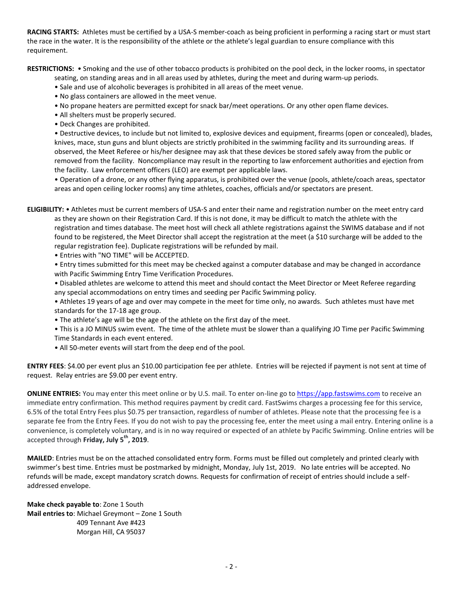**RACING STARTS:** Athletes must be certified by a USA-S member-coach as being proficient in performing a racing start or must start the race in the water. It is the responsibility of the athlete or the athlete's legal guardian to ensure compliance with this requirement.

**RESTRICTIONS:** • Smoking and the use of other tobacco products is prohibited on the pool deck, in the locker rooms, in spectator

seating, on standing areas and in all areas used by athletes, during the meet and during warm-up periods.

- Sale and use of alcoholic beverages is prohibited in all areas of the meet venue.
- No glass containers are allowed in the meet venue.
- No propane heaters are permitted except for snack bar/meet operations. Or any other open flame devices.
- All shelters must be properly secured.
- Deck Changes are prohibited.

• Destructive devices, to include but not limited to, explosive devices and equipment, firearms (open or concealed), blades, knives, mace, stun guns and blunt objects are strictly prohibited in the swimming facility and its surrounding areas. If observed, the Meet Referee or his/her designee may ask that these devices be stored safely away from the public or removed from the facility. Noncompliance may result in the reporting to law enforcement authorities and ejection from the facility. Law enforcement officers (LEO) are exempt per applicable laws.

• Operation of a drone, or any other flying apparatus, is prohibited over the venue (pools, athlete/coach areas, spectator areas and open ceiling locker rooms) any time athletes, coaches, officials and/or spectators are present.

**ELIGIBILITY:** • Athletes must be current members of USA-S and enter their name and registration number on the meet entry card as they are shown on their Registration Card. If this is not done, it may be difficult to match the athlete with the registration and times database. The meet host will check all athlete registrations against the SWIMS database and if not found to be registered, the Meet Director shall accept the registration at the meet (a \$10 surcharge will be added to the regular registration fee). Duplicate registrations will be refunded by mail.

• Entries with "NO TIME" will be ACCEPTED.

• Entry times submitted for this meet may be checked against a computer database and may be changed in accordance with Pacific Swimming Entry Time Verification Procedures.

• Disabled athletes are welcome to attend this meet and should contact the Meet Director or Meet Referee regarding any special accommodations on entry times and seeding per Pacific Swimming policy.

• Athletes 19 years of age and over may compete in the meet for time only, no awards. Such athletes must have met standards for the 17-18 age group.

• The athlete's age will be the age of the athlete on the first day of the meet.

• This is a JO MINUS swim event. The time of the athlete must be slower than a qualifying JO Time per Pacific Swimming Time Standards in each event entered.

• All 50-meter events will start from the deep end of the pool.

**ENTRY FEES**: \$4.00 per event plus an \$10.00 participation fee per athlete. Entries will be rejected if payment is not sent at time of request. Relay entries are \$9.00 per event entry.

**ONLINE ENTRIES:** You may enter this meet online or by U.S. mail. To enter on-line go to [https://app.fastswims.com](https://app.fastswims.com/) to receive an immediate entry confirmation. This method requires payment by credit card. FastSwims charges a processing fee for this service, 6.5% of the total Entry Fees plus \$0.75 per transaction, regardless of number of athletes. Please note that the processing fee is a separate fee from the Entry Fees. If you do not wish to pay the processing fee, enter the meet using a mail entry. Entering online is a convenience, is completely voluntary, and is in no way required or expected of an athlete by Pacific Swimming. Online entries will be accepted through **Friday, July 5 th, 2019**.

**MAILED**: Entries must be on the attached consolidated entry form. Forms must be filled out completely and printed clearly with swimmer's best time. Entries must be postmarked by midnight, Monday, July 1st, 2019. No late entries will be accepted. No refunds will be made, except mandatory scratch downs. Requests for confirmation of receipt of entries should include a selfaddressed envelope.

**Make check payable to**: Zone 1 South **Mail entries to**: Michael Greymont – Zone 1 South 409 Tennant Ave #423 Morgan Hill, CA 95037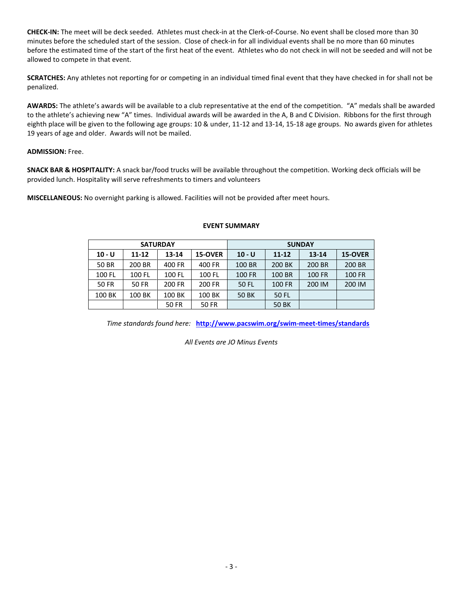**CHECK-IN:** The meet will be deck seeded. Athletes must check-in at the Clerk-of-Course. No event shall be closed more than 30 minutes before the scheduled start of the session. Close of check-in for all individual events shall be no more than 60 minutes before the estimated time of the start of the first heat of the event. Athletes who do not check in will not be seeded and will not be allowed to compete in that event.

**SCRATCHES:** Any athletes not reporting for or competing in an individual timed final event that they have checked in for shall not be penalized.

**AWARDS:** The athlete's awards will be available to a club representative at the end of the competition. "A" medals shall be awarded to the athlete's achieving new "A" times. Individual awards will be awarded in the A, B and C Division. Ribbons for the first through eighth place will be given to the following age groups: 10 & under, 11-12 and 13-14, 15-18 age groups. No awards given for athletes 19 years of age and older. Awards will not be mailed.

## **ADMISSION:** Free.

**SNACK BAR & HOSPITALITY:** A snack bar/food trucks will be available throughout the competition. Working deck officials will be provided lunch. Hospitality will serve refreshments to timers and volunteers

**MISCELLANEOUS:** No overnight parking is allowed. Facilities will not be provided after meet hours.

|              |              | <b>SATURDAY</b>      |              | <b>SUNDAY</b> |               |               |               |  |  |
|--------------|--------------|----------------------|--------------|---------------|---------------|---------------|---------------|--|--|
| $10 - U$     | $11 - 12$    | $13 - 14$<br>15-OVER |              | $10 - U$      | $11 - 12$     | $13 - 14$     | 15-OVER       |  |  |
| 50 BR        | 200 BR       | 400 FR               | 400 FR       | 100 BR        | 200 BK        | 200 BR        | 200 BR        |  |  |
| 100 FL       | 100 FL       | 100 FL               | 100 FL       | <b>100 FR</b> | 100 BR        | <b>100 FR</b> | <b>100 FR</b> |  |  |
| <b>50 FR</b> | <b>50 FR</b> | 200 FR               | 200 FR       | 50 FL         | <b>100 FR</b> | 200 IM        | 200 IM        |  |  |
| 100 BK       | 100 BK       | 100 BK               | 100 BK       | <b>50 BK</b>  | 50 FL         |               |               |  |  |
|              |              | <b>50 FR</b>         | <b>50 FR</b> |               | <b>50 BK</b>  |               |               |  |  |

## **EVENT SUMMARY**

*Time standards found here:* **<http://www.pacswim.org/swim-meet-times/standards>**

*All Events are JO Minus Events*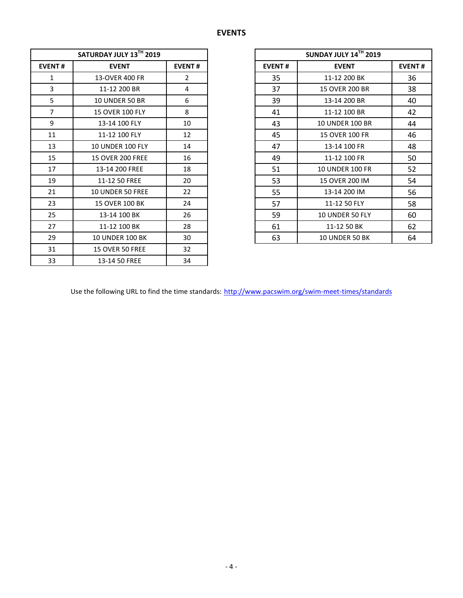|                | SATURDAY JULY 13TH 2019 |                |
|----------------|-------------------------|----------------|
| <b>EVENT#</b>  | <b>EVENT</b>            | <b>EVENT#</b>  |
| $\mathbf{1}$   | 13-OVER 400 FR          | $\overline{2}$ |
| 3              | 11-12 200 BR            | 4              |
| 5              | <b>10 UNDER 50 BR</b>   | 6              |
| $\overline{7}$ | <b>15 OVER 100 FLY</b>  | 8              |
| 9              | 13-14 100 FLY           | 10             |
| 11             | 11-12 100 FLY           | 12             |
| 13             | <b>10 UNDER 100 FLY</b> | 14             |
| 15             | <b>15 OVER 200 FREE</b> | 16             |
| 17             | 13-14 200 FREE          | 18             |
| 19             | 11-12 50 FREE           | 20             |
| 21             | <b>10 UNDER 50 FREE</b> | 22             |
| 23             | 15 OVER 100 BK          | 24             |
| 25             | 13-14 100 BK            | 26             |
| 27             | 11-12 100 BK            | 28             |
| 29             | <b>10 UNDER 100 BK</b>  | 30             |
| 31             | <b>15 OVER 50 FREE</b>  | 32             |
| 33             | 13-14 50 FREE           | 34             |

|                | SATURDAY JULY 13TH 2019 |                | SUNDAY JULY 14TH 2019 |                        |               |  |
|----------------|-------------------------|----------------|-----------------------|------------------------|---------------|--|
| <b>EVENT#</b>  | <b>EVENT</b>            | <b>EVENT#</b>  | <b>EVENT#</b>         | <b>EVENT</b>           | <b>EVENT#</b> |  |
| 1              | 13-OVER 400 FR          | $\overline{2}$ | 35                    | 11-12 200 BK           | 36            |  |
| 3              | 11-12 200 BR            | 4              | 37                    | 15 OVER 200 BR         | 38            |  |
| 5              | <b>10 UNDER 50 BR</b>   | 6              | 39                    | 13-14 200 BR           | 40            |  |
| $\overline{7}$ | <b>15 OVER 100 FLY</b>  | 8              | 41                    | 11-12 100 BR           | 42            |  |
| 9              | 13-14 100 FLY           | 10             | 43                    | <b>10 UNDER 100 BR</b> | 44            |  |
| 11             | 11-12 100 FLY           | 12             | 45                    | 15 OVER 100 FR         | 46            |  |
| 13             | <b>10 UNDER 100 FLY</b> | 14             | 47                    | 13-14 100 FR           | 48            |  |
| 15             | <b>15 OVER 200 FREE</b> | 16             | 49                    | 11-12 100 FR           | 50            |  |
| 17             | 13-14 200 FREE          | 18             | 51                    | <b>10 UNDER 100 FR</b> | 52            |  |
| 19             | 11-12 50 FREE           | 20             | 53                    | 15 OVER 200 IM         | 54            |  |
| 21             | <b>10 UNDER 50 FREE</b> | 22             | 55                    | 13-14 200 IM           | 56            |  |
| 23             | 15 OVER 100 BK          | 24             | 57                    | 11-12 50 FLY           | 58            |  |
| 25             | 13-14 100 BK            | 26             | 59                    | 10 UNDER 50 FLY        | 60            |  |
| 27             | 11-12 100 BK            | 28             | 61                    | 11-12 50 BK            | 62            |  |
| 29             | <b>10 UNDER 100 BK</b>  | 30             | 63                    | 10 UNDER 50 BK         | 64            |  |

Use the following URL to find the time standards: <http://www.pacswim.org/swim-meet-times/standards>